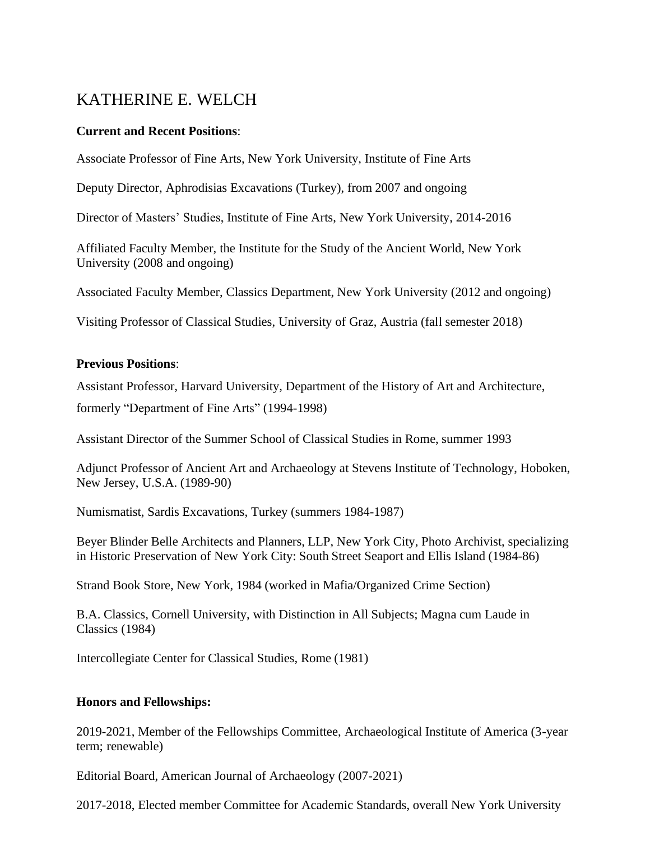# KATHERINE E. WELCH

# **Current and Recent Positions**:

Associate Professor of Fine Arts, New York University, Institute of Fine Arts

Deputy Director, Aphrodisias Excavations (Turkey), from 2007 and ongoing

Director of Masters' Studies, Institute of Fine Arts, New York University, 2014-2016

Affiliated Faculty Member, the Institute for the Study of the Ancient World, New York University (2008 and ongoing)

Associated Faculty Member, Classics Department, New York University (2012 and ongoing)

Visiting Professor of Classical Studies, University of Graz, Austria (fall semester 2018)

# **Previous Positions**:

Assistant Professor, Harvard University, Department of the History of Art and Architecture,

formerly "Department of Fine Arts" (1994-1998)

Assistant Director of the Summer School of Classical Studies in Rome, summer 1993

Adjunct Professor of Ancient Art and Archaeology at Stevens Institute of Technology, Hoboken, New Jersey, U.S.A. (1989-90)

Numismatist, Sardis Excavations, Turkey (summers 1984-1987)

Beyer Blinder Belle Architects and Planners, LLP, New York City, Photo Archivist, specializing in Historic Preservation of New York City: South Street Seaport and Ellis Island (1984-86)

Strand Book Store, New York, 1984 (worked in Mafia/Organized Crime Section)

B.A. Classics, Cornell University, with Distinction in All Subjects; Magna cum Laude in Classics (1984)

Intercollegiate Center for Classical Studies, Rome (1981)

# **Honors and Fellowships:**

2019-2021, Member of the Fellowships Committee, Archaeological Institute of America (3-year term; renewable)

Editorial Board, American Journal of Archaeology (2007-2021)

2017-2018, Elected member Committee for Academic Standards, overall New York University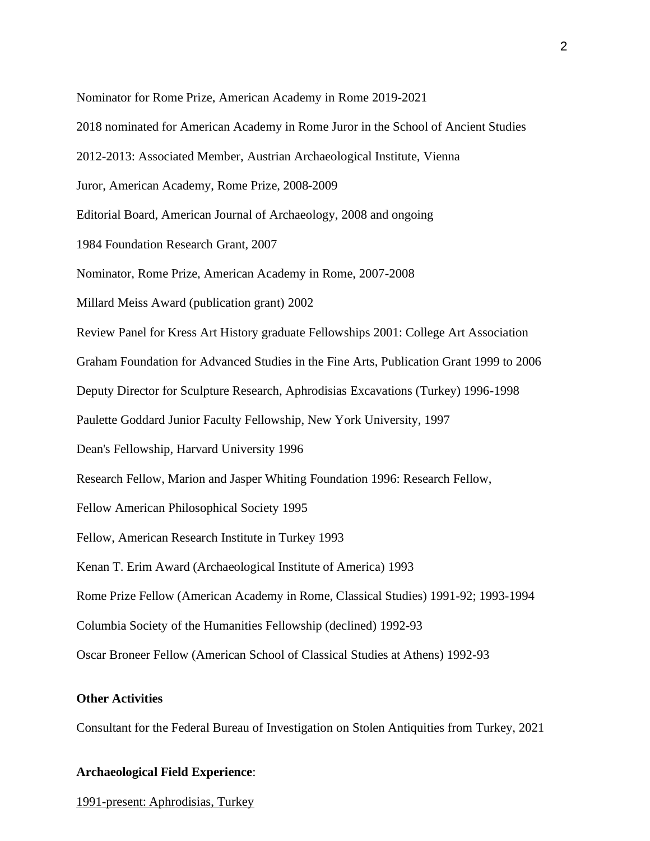Nominator for Rome Prize, American Academy in Rome 2019-2021

- 2018 nominated for American Academy in Rome Juror in the School of Ancient Studies
- 2012-2013: Associated Member, Austrian Archaeological Institute, Vienna
- Juror, American Academy, Rome Prize, 2008-2009

Editorial Board, American Journal of Archaeology, 2008 and ongoing

1984 Foundation Research Grant, 2007

Nominator, Rome Prize, American Academy in Rome, 2007-2008

Millard Meiss Award (publication grant) 2002

Review Panel for Kress Art History graduate Fellowships 2001: College Art Association

Graham Foundation for Advanced Studies in the Fine Arts, Publication Grant 1999 to 2006

Deputy Director for Sculpture Research, Aphrodisias Excavations (Turkey) 1996-1998

Paulette Goddard Junior Faculty Fellowship, New York University, 1997

Dean's Fellowship, Harvard University 1996

Research Fellow, Marion and Jasper Whiting Foundation 1996: Research Fellow,

Fellow American Philosophical Society 1995

Fellow, American Research Institute in Turkey 1993

Kenan T. Erim Award (Archaeological Institute of America) 1993

Rome Prize Fellow (American Academy in Rome, Classical Studies) 1991-92; 1993-1994

Columbia Society of the Humanities Fellowship (declined) 1992-93

Oscar Broneer Fellow (American School of Classical Studies at Athens) 1992-93

### **Other Activities**

Consultant for the Federal Bureau of Investigation on Stolen Antiquities from Turkey, 2021

### **Archaeological Field Experience**:

1991-present: Aphrodisias, Turkey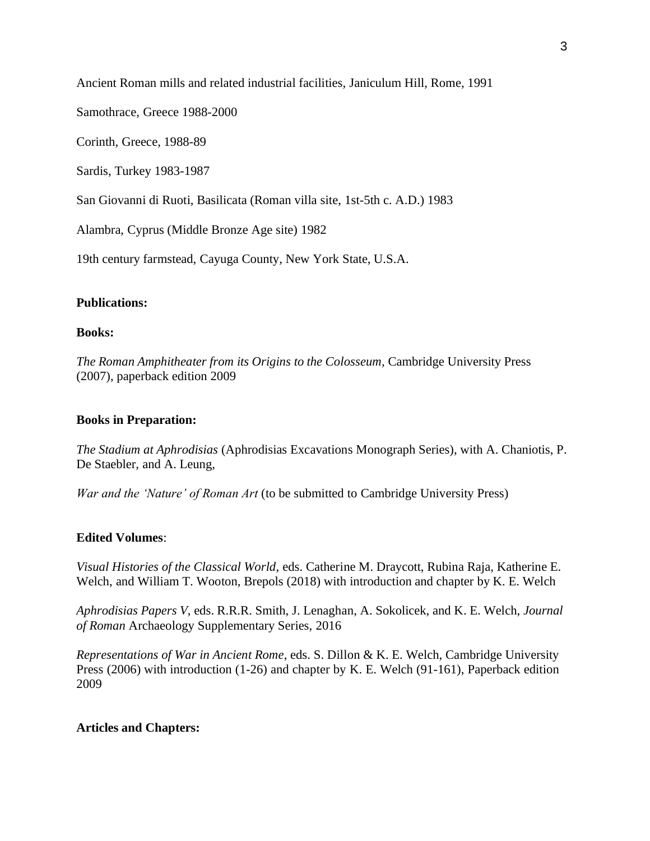Ancient Roman mills and related industrial facilities, Janiculum Hill, Rome, 1991

Samothrace, Greece 1988-2000

Corinth, Greece, 1988-89

Sardis, Turkey 1983-1987

San Giovanni di Ruoti, Basilicata (Roman villa site, 1st-5th c. A.D.) 1983

Alambra, Cyprus (Middle Bronze Age site) 1982

19th century farmstead, Cayuga County, New York State, U.S.A.

### **Publications:**

### **Books:**

*The Roman Amphitheater from its Origins to the Colosseum,* Cambridge University Press (2007), paperback edition 2009

### **Books in Preparation:**

*The Stadium at Aphrodisias* (Aphrodisias Excavations Monograph Series), with A. Chaniotis, P. De Staebler, and A. Leung,

*War and the 'Nature' of Roman Art* (to be submitted to Cambridge University Press)

# **Edited Volumes**:

*Visual Histories of the Classical World*, eds. Catherine M. Draycott, Rubina Raja, Katherine E. Welch, and William T. Wooton, Brepols (2018) with introduction and chapter by K. E. Welch

*Aphrodisias Papers V*, eds. R.R.R. Smith, J. Lenaghan, A. Sokolicek, and K. E. Welch, *Journal of Roman* Archaeology Supplementary Series, 2016

*Representations of War in Ancient Rome*, eds. S. Dillon & K. E. Welch, Cambridge University Press (2006) with introduction (1-26) and chapter by K. E. Welch (91-161), Paperback edition 2009

# **Articles and Chapters:**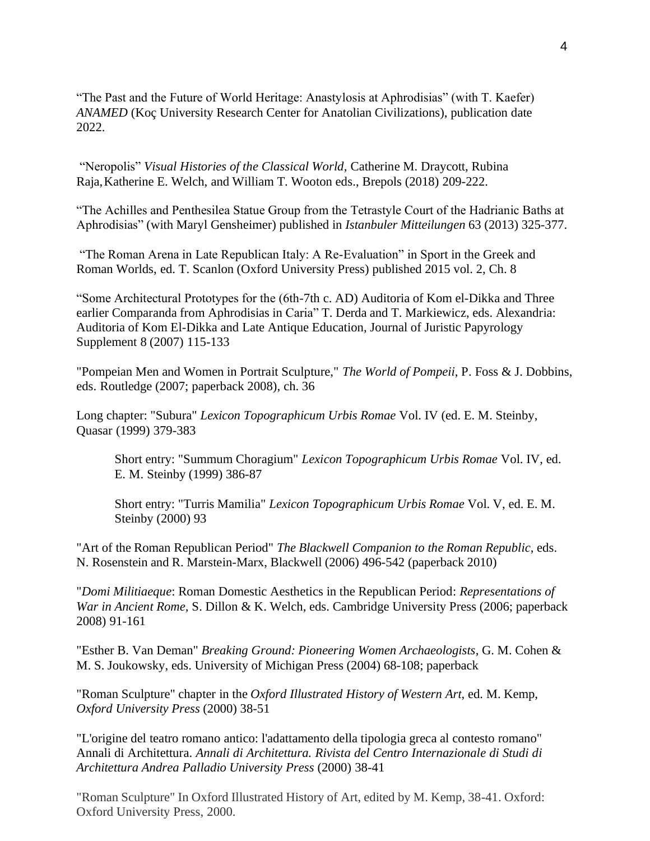"The Past and the Future of World Heritage: Anastylosis at Aphrodisias" (with T. Kaefer) *ANAMED* (Koç University Research Center for Anatolian Civilizations), publication date 2022.

"Neropolis" *Visual Histories of the Classical World*, Catherine M. Draycott, Rubina Raja, Katherine E. Welch, and William T. Wooton eds., Brepols (2018) 209-222.

"The Achilles and Penthesilea Statue Group from the Tetrastyle Court of the Hadrianic Baths at Aphrodisias" (with Maryl Gensheimer) published in *Istanbuler Mitteilungen* 63 (2013) 325-377.

"The Roman Arena in Late Republican Italy: A Re-Evaluation" in Sport in the Greek and Roman Worlds, ed. T. Scanlon (Oxford University Press) published 2015 vol. 2, Ch. 8

"Some Architectural Prototypes for the (6th-7th c. AD) Auditoria of Kom el-Dikka and Three earlier Comparanda from Aphrodisias in Caria" T. Derda and T. Markiewicz, eds. Alexandria: Auditoria of Kom El-Dikka and Late Antique Education, Journal of Juristic Papyrology Supplement 8 (2007) 115-133

"Pompeian Men and Women in Portrait Sculpture," *The World of Pompeii*, P. Foss & J. Dobbins, eds. Routledge (2007; paperback 2008), ch. 36

Long chapter: "Subura" *Lexicon Topographicum Urbis Romae* Vol. IV (ed. E. M. Steinby, Quasar (1999) 379-383

Short entry: "Summum Choragium" *Lexicon Topographicum Urbis Romae* Vol. IV, ed. E. M. Steinby (1999) 386-87

Short entry: "Turris Mamilia" *Lexicon Topographicum Urbis Romae* Vol. V, ed. E. M. Steinby (2000) 93

"Art of the Roman Republican Period" *The Blackwell Companion to the Roman Republic*, eds. N. Rosenstein and R. Marstein-Marx, Blackwell (2006) 496-542 (paperback 2010)

"*Domi Militiaeque*: Roman Domestic Aesthetics in the Republican Period: *Representations of War in Ancient Rome,* S. Dillon & K. Welch, eds. Cambridge University Press (2006; paperback 2008) 91-161

"Esther B. Van Deman" *Breaking Ground: Pioneering Women Archaeologists*, G. M. Cohen & M. S. Joukowsky, eds. University of Michigan Press (2004) 68-108; paperback

"Roman Sculpture" chapter in the *Oxford Illustrated History of Western Art*, ed. M. Kemp, *Oxford University Press* (2000) 38-51

"L'origine del teatro romano antico: l'adattamento della tipologia greca al contesto romano" Annali di Architettura. *Annali di Architettura. Rivista del Centro Internazionale di Studi di Architettura Andrea Palladio University Press* (2000) 38-41

"Roman Sculpture" In Oxford Illustrated History of Art, edited by M. Kemp, 38-41. Oxford: Oxford University Press, 2000.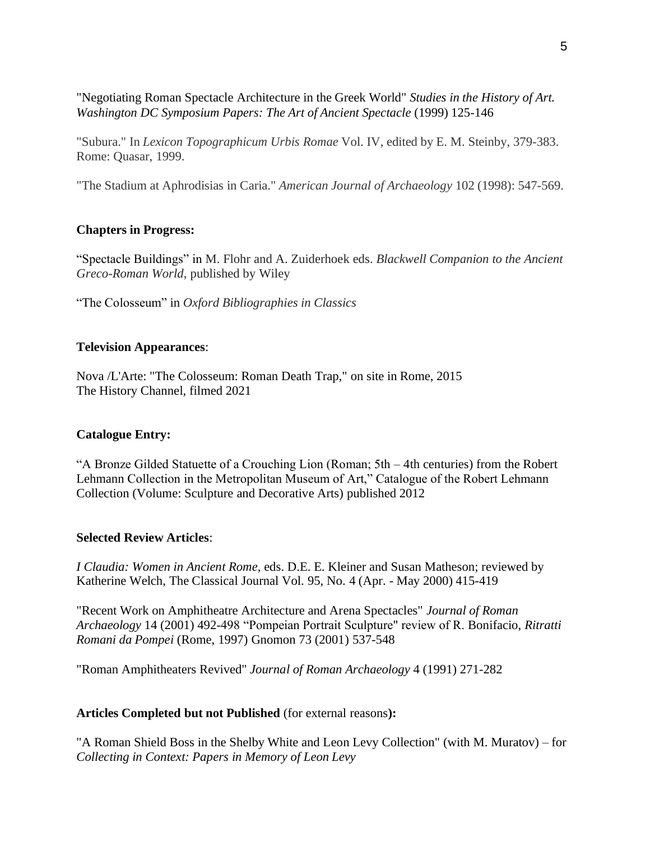"Negotiating Roman Spectacle Architecture in the Greek World" *Studies in the History of Art. Washington DC Symposium Papers: The Art of Ancient Spectacle* (1999) 125-146

"Subura." In *Lexicon Topographicum Urbis Romae* Vol. IV, edited by E. M. Steinby, 379-383. Rome: Quasar, 1999.

"The Stadium at Aphrodisias in Caria." *American Journal of Archaeology* 102 (1998): 547-569.

# **Chapters in Progress:**

"Spectacle Buildings" in M. Flohr and A. Zuiderhoek eds. *Blackwell Companion to the Ancient Greco-Roman World*, published by Wiley

"The Colosseum" in *Oxford Bibliographies in Classics*

# **Television Appearances**:

Nova /L'Arte: "The Colosseum: Roman Death Trap," on site in Rome, 2015 The History Channel, filmed 2021

# **Catalogue Entry:**

"A Bronze Gilded Statuette of a Crouching Lion (Roman; 5th – 4th centuries) from the Robert Lehmann Collection in the Metropolitan Museum of Art," Catalogue of the Robert Lehmann Collection (Volume: Sculpture and Decorative Arts) published 2012

# **Selected Review Articles**:

*I Claudia: Women in Ancient Rome*, eds. D.E. E. Kleiner and Susan Matheson; reviewed by Katherine Welch, The Classical Journal Vol. 95, No. 4 (Apr. - May 2000) 415-419

"Recent Work on Amphitheatre Architecture and Arena Spectacles" *Journal of Roman Archaeology* 14 (2001) 492-498 "Pompeian Portrait Sculpture" review of R. Bonifacio, *Ritratti Romani da Pompei* (Rome, 1997) Gnomon 73 (2001) 537-548

"Roman Amphitheaters Revived" *Journal of Roman Archaeology* 4 (1991) 271-282

# **Articles Completed but not Published** (for external reasons**):**

"A Roman Shield Boss in the Shelby White and Leon Levy Collection" (with M. Muratov) – for *Collecting in Context: Papers in Memory of Leon Levy*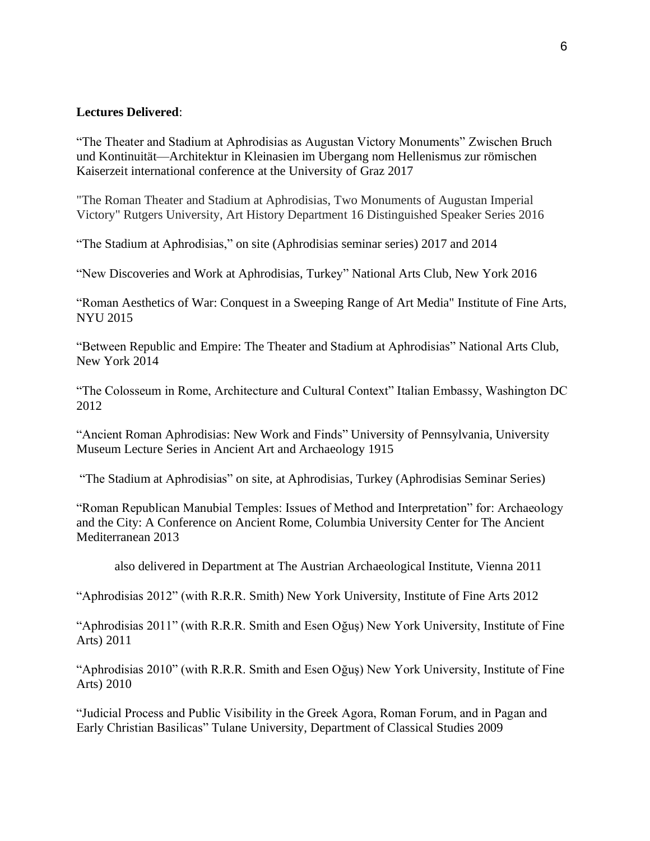### **Lectures Delivered**:

"The Theater and Stadium at Aphrodisias as Augustan Victory Monuments" Zwischen Bruch und Kontinuität—Architektur in Kleinasien im Ubergang nom Hellenismus zur römischen Kaiserzeit international conference at the University of Graz 2017

"The Roman Theater and Stadium at Aphrodisias, Two Monuments of Augustan Imperial Victory" Rutgers University, Art History Department 16 Distinguished Speaker Series 2016

"The Stadium at Aphrodisias," on site (Aphrodisias seminar series) 2017 and 2014

"New Discoveries and Work at Aphrodisias, Turkey" National Arts Club, New York 2016

"Roman Aesthetics of War: Conquest in a Sweeping Range of Art Media" Institute of Fine Arts, NYU 2015

"Between Republic and Empire: The Theater and Stadium at Aphrodisias" National Arts Club, New York 2014

"The Colosseum in Rome, Architecture and Cultural Context" Italian Embassy, Washington DC 2012

"Ancient Roman Aphrodisias: New Work and Finds" University of Pennsylvania, University Museum Lecture Series in Ancient Art and Archaeology 1915

"The Stadium at Aphrodisias" on site, at Aphrodisias, Turkey (Aphrodisias Seminar Series)

"Roman Republican Manubial Temples: Issues of Method and Interpretation" for: Archaeology and the City: A Conference on Ancient Rome, Columbia University Center for The Ancient Mediterranean 2013

also delivered in Department at The Austrian Archaeological Institute, Vienna 2011

"Aphrodisias 2012" (with R.R.R. Smith) New York University, Institute of Fine Arts 2012

"Aphrodisias 2011" (with R.R.R. Smith and Esen Oğuş) New York University, Institute of Fine Arts) 2011

"Aphrodisias 2010" (with R.R.R. Smith and Esen Oğuş) New York University, Institute of Fine Arts) 2010

"Judicial Process and Public Visibility in the Greek Agora, Roman Forum, and in Pagan and Early Christian Basilicas" Tulane University, Department of Classical Studies 2009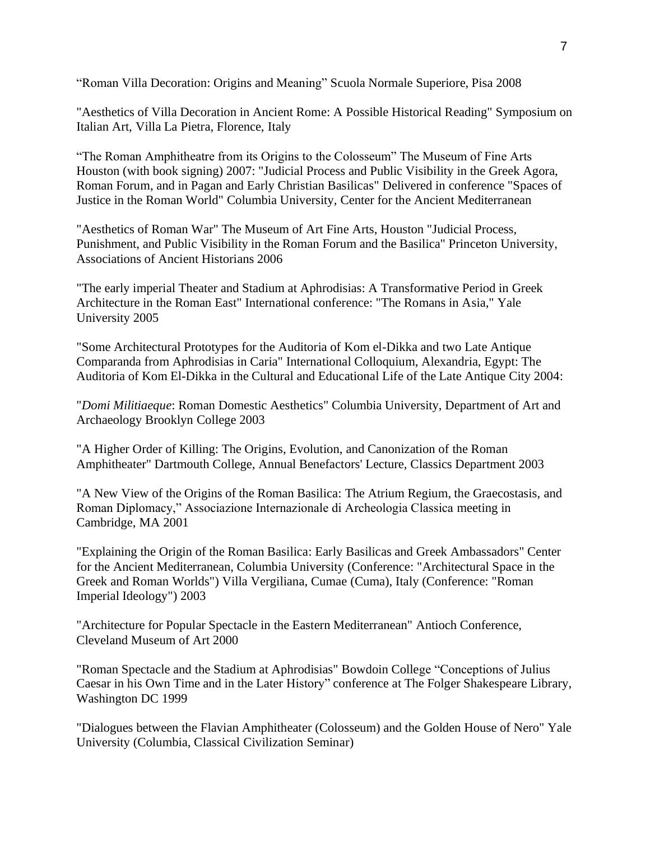"Roman Villa Decoration: Origins and Meaning" Scuola Normale Superiore, Pisa 2008

"Aesthetics of Villa Decoration in Ancient Rome: A Possible Historical Reading" Symposium on Italian Art, Villa La Pietra, Florence, Italy

"The Roman Amphitheatre from its Origins to the Colosseum" The Museum of Fine Arts Houston (with book signing) 2007: "Judicial Process and Public Visibility in the Greek Agora, Roman Forum, and in Pagan and Early Christian Basilicas" Delivered in conference "Spaces of Justice in the Roman World" Columbia University, Center for the Ancient Mediterranean

"Aesthetics of Roman War" The Museum of Art Fine Arts, Houston "Judicial Process, Punishment, and Public Visibility in the Roman Forum and the Basilica" Princeton University, Associations of Ancient Historians 2006

"The early imperial Theater and Stadium at Aphrodisias: A Transformative Period in Greek Architecture in the Roman East" International conference: "The Romans in Asia," Yale University 2005

"Some Architectural Prototypes for the Auditoria of Kom el-Dikka and two Late Antique Comparanda from Aphrodisias in Caria" International Colloquium, Alexandria, Egypt: The Auditoria of Kom El-Dikka in the Cultural and Educational Life of the Late Antique City 2004:

"*Domi Militiaeque*: Roman Domestic Aesthetics" Columbia University, Department of Art and Archaeology Brooklyn College 2003

"A Higher Order of Killing: The Origins, Evolution, and Canonization of the Roman Amphitheater" Dartmouth College, Annual Benefactors' Lecture, Classics Department 2003

"A New View of the Origins of the Roman Basilica: The Atrium Regium, the Graecostasis, and Roman Diplomacy," Associazione Internazionale di Archeologia Classica meeting in Cambridge, MA 2001

"Explaining the Origin of the Roman Basilica: Early Basilicas and Greek Ambassadors" Center for the Ancient Mediterranean, Columbia University (Conference: "Architectural Space in the Greek and Roman Worlds") Villa Vergiliana, Cumae (Cuma), Italy (Conference: "Roman Imperial Ideology") 2003

"Architecture for Popular Spectacle in the Eastern Mediterranean" Antioch Conference, Cleveland Museum of Art 2000

"Roman Spectacle and the Stadium at Aphrodisias" Bowdoin College "Conceptions of Julius Caesar in his Own Time and in the Later History" conference at The Folger Shakespeare Library, Washington DC 1999

"Dialogues between the Flavian Amphitheater (Colosseum) and the Golden House of Nero" Yale University (Columbia, Classical Civilization Seminar)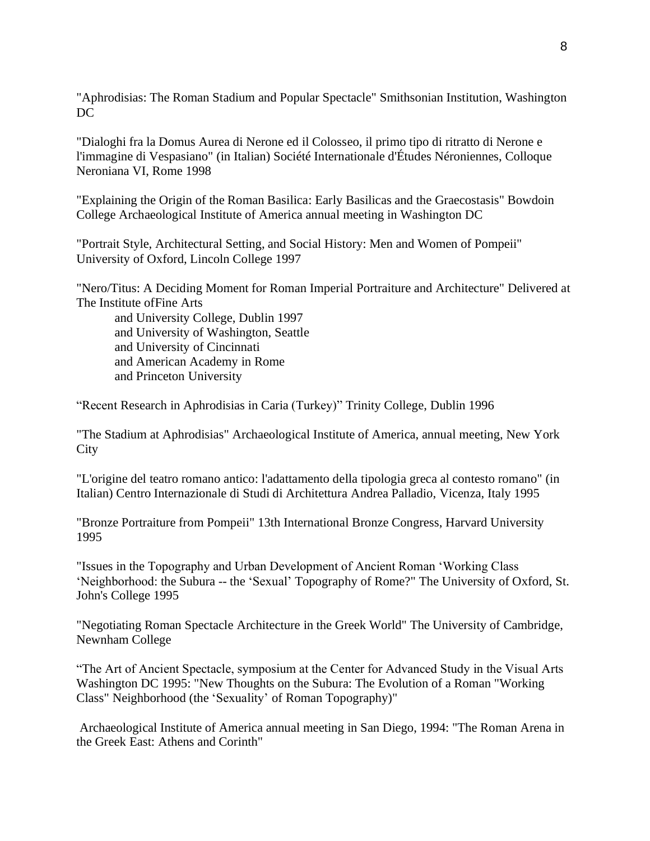"Aphrodisias: The Roman Stadium and Popular Spectacle" Smithsonian Institution, Washington DC

"Dialoghi fra la Domus Aurea di Nerone ed il Colosseo, il primo tipo di ritratto di Nerone e l'immagine di Vespasiano" (in Italian) Société Internationale d'Études Néroniennes, Colloque Neroniana VI, Rome 1998

"Explaining the Origin of the Roman Basilica: Early Basilicas and the Graecostasis" Bowdoin College Archaeological Institute of America annual meeting in Washington DC

"Portrait Style, Architectural Setting, and Social History: Men and Women of Pompeii" University of Oxford, Lincoln College 1997

"Nero/Titus: A Deciding Moment for Roman Imperial Portraiture and Architecture" Delivered at The Institute ofFine Arts

and University College, Dublin 1997 and University of Washington, Seattle and University of Cincinnati and American Academy in Rome and Princeton University

"Recent Research in Aphrodisias in Caria (Turkey)" Trinity College, Dublin 1996

"The Stadium at Aphrodisias" Archaeological Institute of America, annual meeting, New York **City** 

"L'origine del teatro romano antico: l'adattamento della tipologia greca al contesto romano" (in Italian) Centro Internazionale di Studi di Architettura Andrea Palladio, Vicenza, Italy 1995

"Bronze Portraiture from Pompeii" 13th International Bronze Congress, Harvard University 1995

"Issues in the Topography and Urban Development of Ancient Roman 'Working Class 'Neighborhood: the Subura -- the 'Sexual' Topography of Rome?" The University of Oxford, St. John's College 1995

"Negotiating Roman Spectacle Architecture in the Greek World" The University of Cambridge, Newnham College

"The Art of Ancient Spectacle, symposium at the Center for Advanced Study in the Visual Arts Washington DC 1995: "New Thoughts on the Subura: The Evolution of a Roman "Working Class" Neighborhood (the 'Sexuality' of Roman Topography)"

Archaeological Institute of America annual meeting in San Diego, 1994: "The Roman Arena in the Greek East: Athens and Corinth"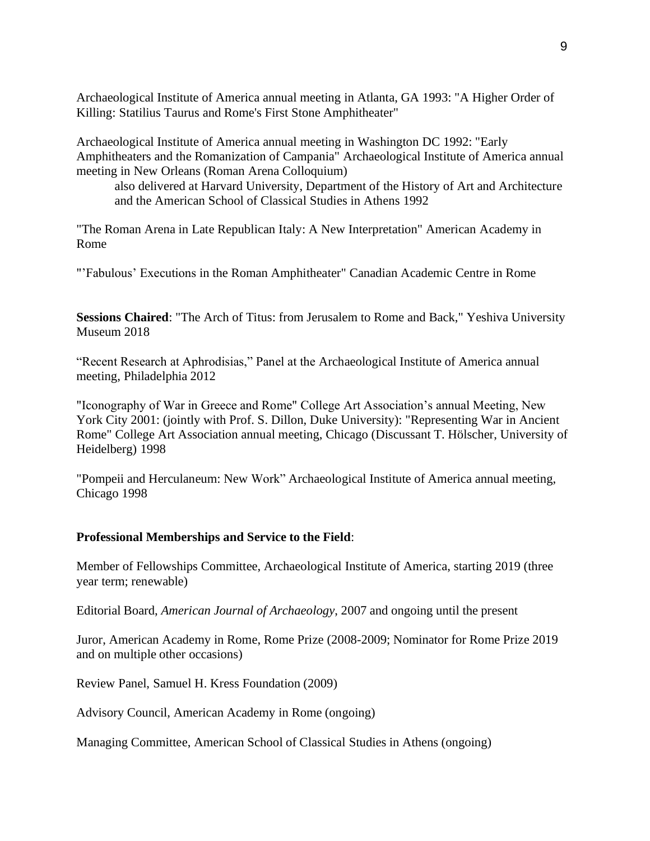Archaeological Institute of America annual meeting in Atlanta, GA 1993: "A Higher Order of Killing: Statilius Taurus and Rome's First Stone Amphitheater"

Archaeological Institute of America annual meeting in Washington DC 1992: "Early Amphitheaters and the Romanization of Campania" Archaeological Institute of America annual meeting in New Orleans (Roman Arena Colloquium)

also delivered at Harvard University, Department of the History of Art and Architecture and the American School of Classical Studies in Athens 1992

"The Roman Arena in Late Republican Italy: A New Interpretation" American Academy in Rome

"'Fabulous' Executions in the Roman Amphitheater" Canadian Academic Centre in Rome

**Sessions Chaired**: "The Arch of Titus: from Jerusalem to Rome and Back," Yeshiva University Museum 2018

"Recent Research at Aphrodisias," Panel at the Archaeological Institute of America annual meeting, Philadelphia 2012

"Iconography of War in Greece and Rome" College Art Association's annual Meeting, New York City 2001: (jointly with Prof. S. Dillon, Duke University): "Representing War in Ancient Rome" College Art Association annual meeting, Chicago (Discussant T. Hölscher, University of Heidelberg) 1998

"Pompeii and Herculaneum: New Work" Archaeological Institute of America annual meeting, Chicago 1998

# **Professional Memberships and Service to the Field**:

Member of Fellowships Committee, Archaeological Institute of America, starting 2019 (three year term; renewable)

Editorial Board, *American Journal of Archaeology*, 2007 and ongoing until the present

Juror, American Academy in Rome, Rome Prize (2008-2009; Nominator for Rome Prize 2019 and on multiple other occasions)

Review Panel, Samuel H. Kress Foundation (2009)

Advisory Council, American Academy in Rome (ongoing)

Managing Committee, American School of Classical Studies in Athens (ongoing)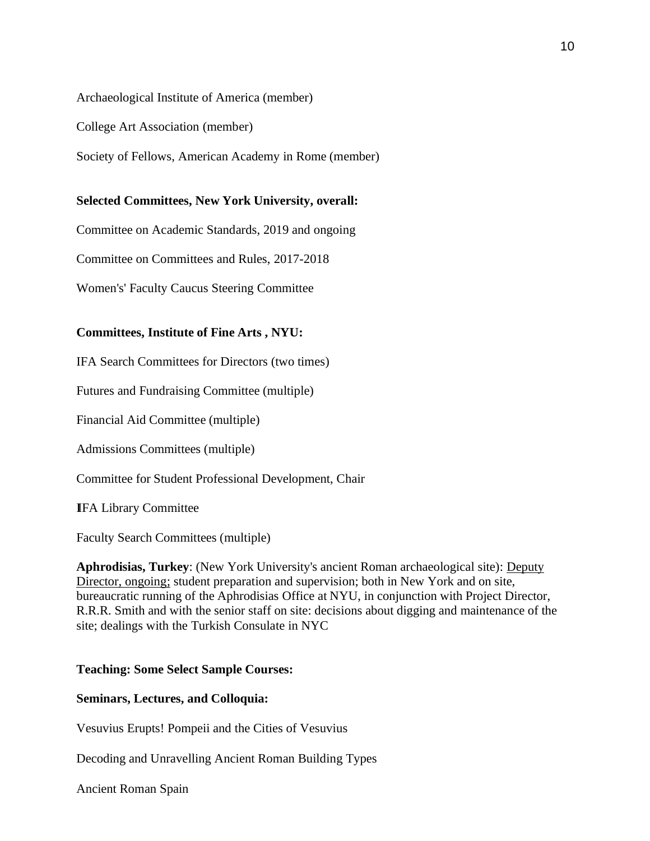#### Archaeological Institute of America (member)

College Art Association (member)

Society of Fellows, American Academy in Rome (member)

### **Selected Committees, New York University, overall:**

Committee on Academic Standards, 2019 and ongoing

Committee on Committees and Rules, 2017-2018

Women's' Faculty Caucus Steering Committee

### **Committees, Institute of Fine Arts , NYU:**

IFA Search Committees for Directors (two times)

Futures and Fundraising Committee (multiple)

Financial Aid Committee (multiple)

Admissions Committees (multiple)

Committee for Student Professional Development, Chair

IFA Library Committee

Faculty Search Committees (multiple)

**Aphrodisias, Turkey**: (New York University's ancient Roman archaeological site): Deputy Director, ongoing; student preparation and supervision; both in New York and on site, bureaucratic running of the Aphrodisias Office at NYU, in conjunction with Project Director, R.R.R. Smith and with the senior staff on site: decisions about digging and maintenance of the site; dealings with the Turkish Consulate in NYC

#### **Teaching: Some Select Sample Courses:**

#### **Seminars, Lectures, and Colloquia:**

Vesuvius Erupts! Pompeii and the Cities of Vesuvius

Decoding and Unravelling Ancient Roman Building Types

Ancient Roman Spain